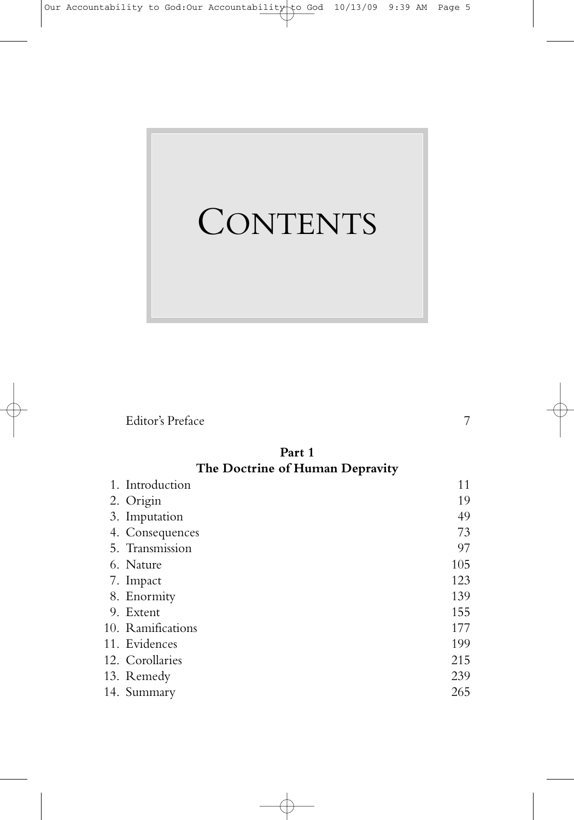# **CONTENTS**

| Editor's Preface |  |
|------------------|--|

## **Part 1 The Doctrine of Human Depravity**

| $\cdots$          |     |
|-------------------|-----|
| 1. Introduction   | 11  |
| 2. Origin         | 19  |
| 3. Imputation     | 49  |
| 4. Consequences   | 73  |
| 5. Transmission   | 97  |
| 6. Nature         | 105 |
| 7. Impact         | 123 |
| 8. Enormity       | 139 |
| 9. Extent         | 155 |
| 10. Ramifications | 177 |
| 11. Evidences     | 199 |
| 12. Corollaries   | 215 |
| 13. Remedy        | 239 |
| 14. Summary       | 265 |
|                   |     |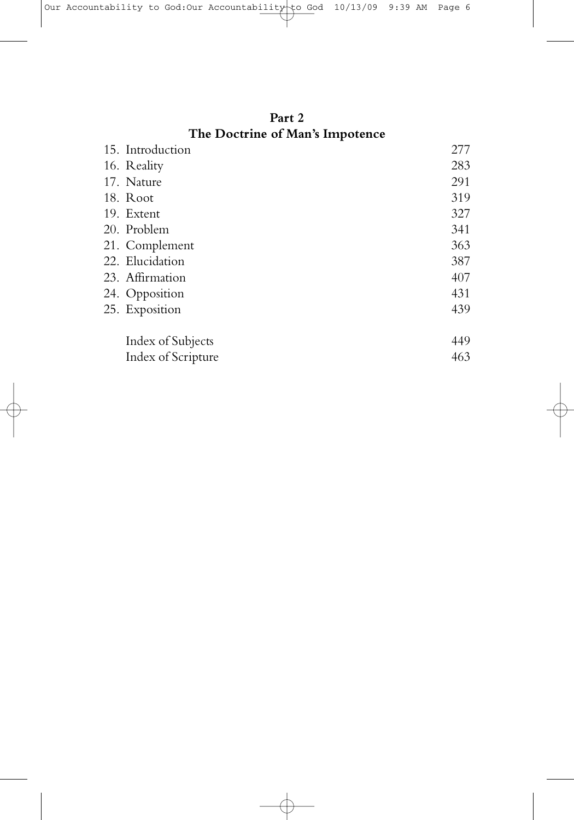| л.                 |     |
|--------------------|-----|
| 15. Introduction   | 277 |
| 16. Reality        | 283 |
| 17. Nature         | 291 |
| 18. Root           | 319 |
| 19. Extent         | 327 |
| 20. Problem        | 341 |
| 21. Complement     | 363 |
| 22. Elucidation    | 387 |
| 23. Affirmation    | 407 |
| 24. Opposition     | 431 |
| 25. Exposition     | 439 |
| Index of Subjects  | 449 |
| Index of Scripture | 463 |
|                    |     |

**Part 2 The Doctrine of Man's Impotence**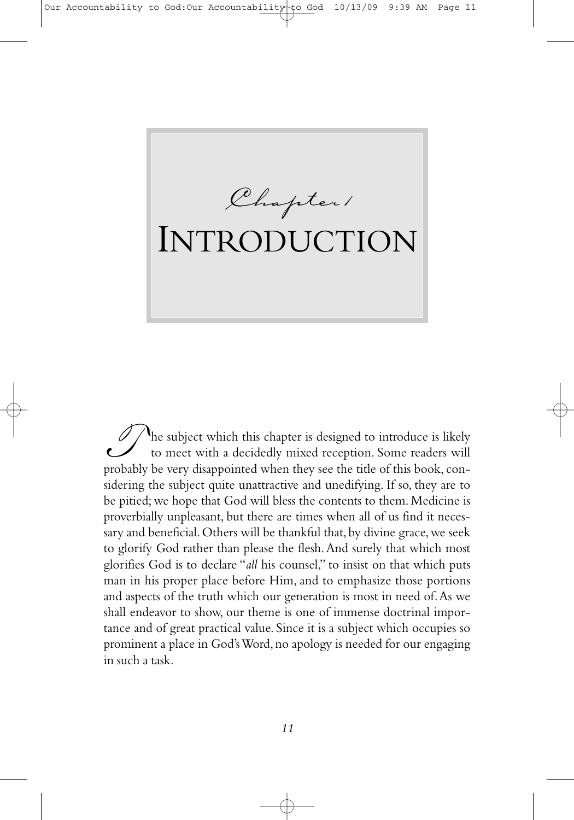Chapter1 INTRODUCTION

The subject which this chapter is designed to introduce is likely to meet with a decidedly mixed reception. Some readers will probably be very disappointed when they see the title of this book, considering the subject quite unattractive and unedifying. If so, they are to be pitied; we hope that God will bless the contents to them. Medicine is proverbially unpleasant, but there are times when all of us find it necessary and beneficial. Others will be thankful that, by divine grace, we seek to glorify God rather than please the flesh.And surely that which most glorifies God is to declare "*all* his counsel," to insist on that which puts man in his proper place before Him, and to emphasize those portions and aspects of the truth which our generation is most in need of.As we shall endeavor to show, our theme is one of immense doctrinal importance and of great practical value. Since it is a subject which occupies so prominent a place in God'sWord, no apology is needed for our engaging in such a task.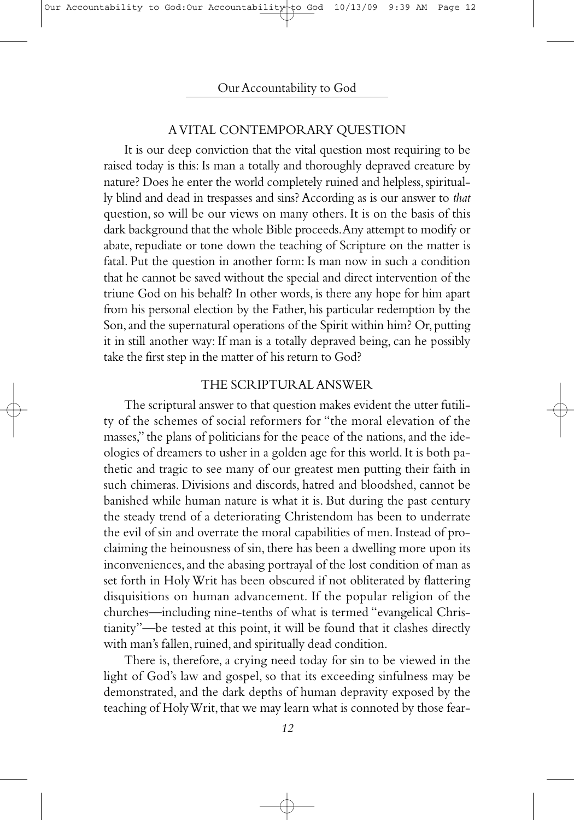## AVITAL CONTEMPORARY QUESTION

It is our deep conviction that the vital question most requiring to be raised today is this: Is man a totally and thoroughly depraved creature by nature? Does he enter the world completely ruined and helpless, spiritually blind and dead in trespasses and sins? According as is our answer to *that* question, so will be our views on many others. It is on the basis of this dark background that the whole Bible proceeds.Any attempt to modify or abate, repudiate or tone down the teaching of Scripture on the matter is fatal. Put the question in another form: Is man now in such a condition that he cannot be saved without the special and direct intervention of the triune God on his behalf? In other words, is there any hope for him apart from his personal election by the Father, his particular redemption by the Son,and the supernatural operations of the Spirit within him? Or, putting it in still another way: If man is a totally depraved being, can he possibly take the first step in the matter of his return to God?

### THE SCRIPTURALANSWER

The scriptural answer to that question makes evident the utter futility of the schemes of social reformers for "the moral elevation of the masses," the plans of politicians for the peace of the nations, and the ideologies of dreamers to usher in a golden age for this world.It is both pathetic and tragic to see many of our greatest men putting their faith in such chimeras. Divisions and discords, hatred and bloodshed, cannot be banished while human nature is what it is. But during the past century the steady trend of a deteriorating Christendom has been to underrate the evil of sin and overrate the moral capabilities of men.Instead of proclaiming the heinousness of sin, there has been a dwelling more upon its inconveniences,and the abasing portrayal of the lost condition of man as set forth in HolyWrit has been obscured if not obliterated by flattering disquisitions on human advancement. If the popular religion of the churches—including nine-tenths of what is termed "evangelical Christianity"—be tested at this point, it will be found that it clashes directly with man's fallen, ruined, and spiritually dead condition.

There is, therefore, a crying need today for sin to be viewed in the light of God's law and gospel, so that its exceeding sinfulness may be demonstrated, and the dark depths of human depravity exposed by the teaching of Holy Writ, that we may learn what is connoted by those fear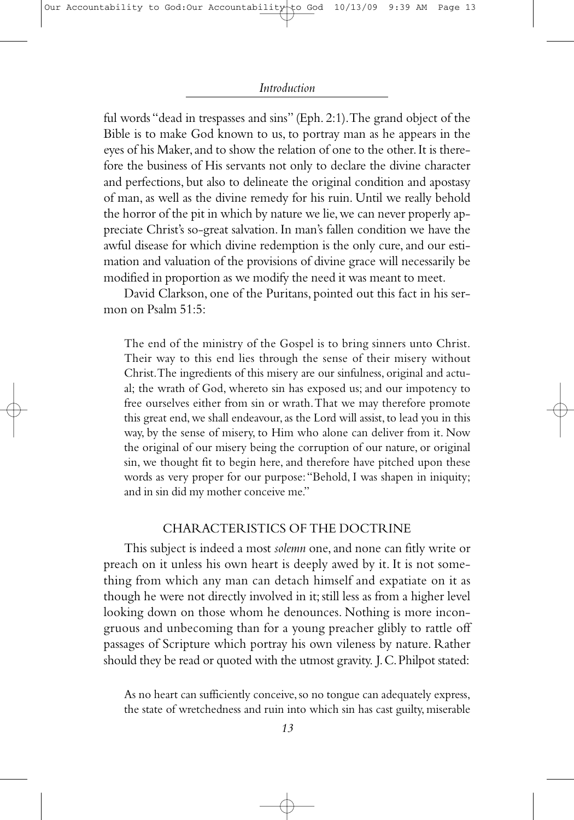ful words "dead in trespasses and sins" (Eph. 2:1).The grand object of the Bible is to make God known to us, to portray man as he appears in the eyes of his Maker, and to show the relation of one to the other. It is therefore the business of His servants not only to declare the divine character and perfections, but also to delineate the original condition and apostasy of man,as well as the divine remedy for his ruin. Until we really behold the horror of the pit in which by nature we lie, we can never properly appreciate Christ's so-great salvation. In man's fallen condition we have the awful disease for which divine redemption is the only cure, and our estimation and valuation of the provisions of divine grace will necessarily be modified in proportion as we modify the need it was meant to meet.

David Clarkson, one of the Puritans, pointed out this fact in his sermon on Psalm 51:5:

The end of the ministry of the Gospel is to bring sinners unto Christ. Their way to this end lies through the sense of their misery without Christ.The ingredients of this misery are our sinfulness, original and actual; the wrath of God, whereto sin has exposed us; and our impotency to free ourselves either from sin or wrath.That we may therefore promote this great end, we shall endeavour, as the Lord will assist, to lead you in this way, by the sense of misery, to Him who alone can deliver from it. Now the original of our misery being the corruption of our nature, or original sin, we thought fit to begin here, and therefore have pitched upon these words as very proper for our purpose:"Behold, I was shapen in iniquity; and in sin did my mother conceive me."

#### CHARACTERISTICS OF THE DOCTRINE

This subject is indeed a most *solemn* one,and none can fitly write or preach on it unless his own heart is deeply awed by it. It is not something from which any man can detach himself and expatiate on it as though he were not directly involved in it; still less as from a higher level looking down on those whom he denounces. Nothing is more incongruous and unbecoming than for a young preacher glibly to rattle off passages of Scripture which portray his own vileness by nature. Rather should they be read or quoted with the utmost gravity. J.C.Philpot stated:

As no heart can sufficiently conceive, so no tongue can adequately express, the state of wretchedness and ruin into which sin has cast guilty, miserable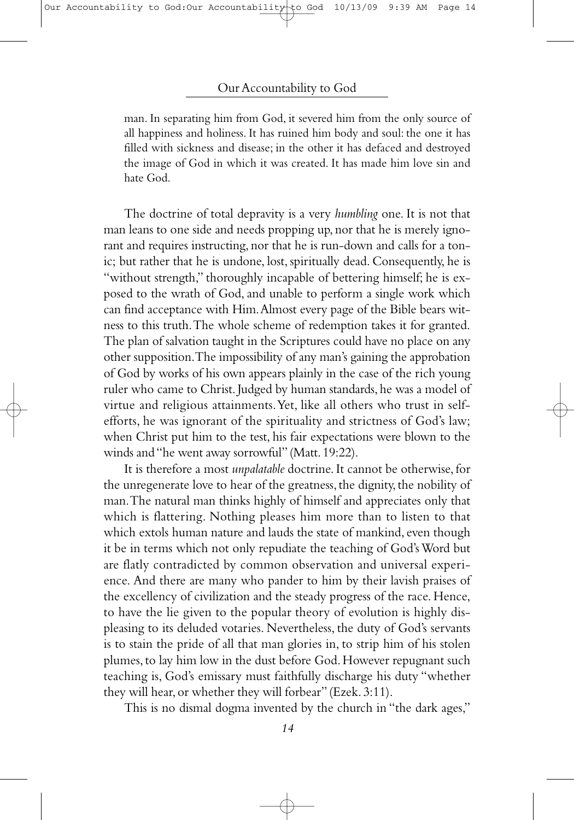man. In separating him from God, it severed him from the only source of all happiness and holiness. It has ruined him body and soul: the one it has filled with sickness and disease; in the other it has defaced and destroyed the image of God in which it was created. It has made him love sin and hate God.

The doctrine of total depravity is a very *humbling* one. It is not that man leans to one side and needs propping up, nor that he is merely ignorant and requires instructing, nor that he is run-down and calls for a tonic; but rather that he is undone, lost, spiritually dead. Consequently, he is "without strength," thoroughly incapable of bettering himself; he is exposed to the wrath of God, and unable to perform a single work which can find acceptance with Him.Almost every page of the Bible bears witness to this truth.The whole scheme of redemption takes it for granted. The plan of salvation taught in the Scriptures could have no place on any other supposition.The impossibility of any man's gaining the approbation of God by works of his own appears plainly in the case of the rich young ruler who came to Christ. Judged by human standards, he was a model of virtue and religious attainments.Yet, like all others who trust in selfefforts, he was ignorant of the spirituality and strictness of God's law; when Christ put him to the test, his fair expectations were blown to the winds and "he went away sorrowful" (Matt. 19:22).

It is therefore a most *unpalatable* doctrine.It cannot be otherwise, for the unregenerate love to hear of the greatness, the dignity, the nobility of man.The natural man thinks highly of himself and appreciates only that which is flattering. Nothing pleases him more than to listen to that which extols human nature and lauds the state of mankind, even though it be in terms which not only repudiate the teaching of God'sWord but are flatly contradicted by common observation and universal experience. And there are many who pander to him by their lavish praises of the excellency of civilization and the steady progress of the race. Hence, to have the lie given to the popular theory of evolution is highly displeasing to its deluded votaries. Nevertheless, the duty of God's servants is to stain the pride of all that man glories in, to strip him of his stolen plumes, to lay him low in the dust before God.However repugnant such teaching is, God's emissary must faithfully discharge his duty "whether they will hear, or whether they will forbear" (Ezek. 3:11).

This is no dismal dogma invented by the church in "the dark ages,"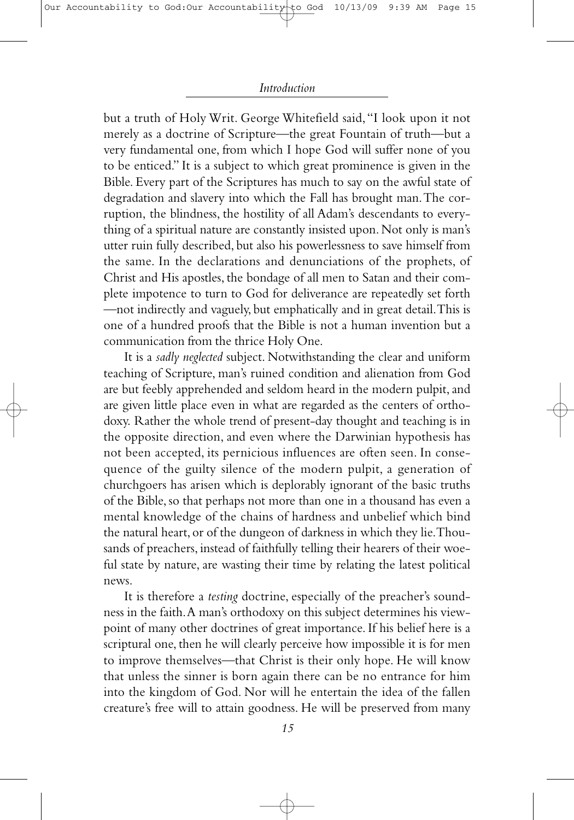but a truth of Holy Writ. George Whitefield said,"I look upon it not merely as a doctrine of Scripture—the great Fountain of truth—but a very fundamental one, from which I hope God will suffer none of you to be enticed." It is a subject to which great prominence is given in the Bible. Every part of the Scriptures has much to say on the awful state of degradation and slavery into which the Fall has brought man.The corruption, the blindness, the hostility of all Adam's descendants to everything of a spiritual nature are constantly insisted upon. Not only is man's utter ruin fully described, but also his powerlessness to save himself from the same. In the declarations and denunciations of the prophets, of Christ and His apostles, the bondage of all men to Satan and their complete impotence to turn to God for deliverance are repeatedly set forth —not indirectly and vaguely, but emphatically and in great detail.This is one of a hundred proofs that the Bible is not a human invention but a communication from the thrice Holy One.

It is a *sadly neglected* subject. Notwithstanding the clear and uniform teaching of Scripture, man's ruined condition and alienation from God are but feebly apprehended and seldom heard in the modern pulpit, and are given little place even in what are regarded as the centers of orthodoxy. Rather the whole trend of present-day thought and teaching is in the opposite direction, and even where the Darwinian hypothesis has not been accepted, its pernicious influences are often seen. In consequence of the guilty silence of the modern pulpit, a generation of churchgoers has arisen which is deplorably ignorant of the basic truths of the Bible, so that perhaps not more than one in a thousand has even a mental knowledge of the chains of hardness and unbelief which bind the natural heart, or of the dungeon of darkness in which they lie.Thousands of preachers, instead of faithfully telling their hearers of their woeful state by nature, are wasting their time by relating the latest political news.

It is therefore a *testing* doctrine, especially of the preacher's soundness in the faith.A man's orthodoxy on this subject determines his viewpoint of many other doctrines of great importance. If his belief here is a scriptural one, then he will clearly perceive how impossible it is for men to improve themselves—that Christ is their only hope. He will know that unless the sinner is born again there can be no entrance for him into the kingdom of God. Nor will he entertain the idea of the fallen creature's free will to attain goodness. He will be preserved from many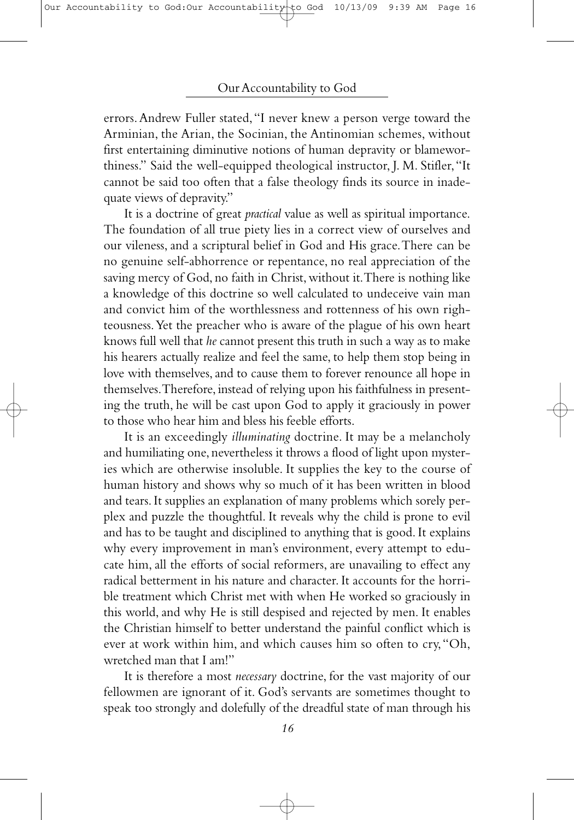errors.Andrew Fuller stated,"I never knew a person verge toward the Arminian, the Arian, the Socinian, the Antinomian schemes, without first entertaining diminutive notions of human depravity or blameworthiness." Said the well-equipped theological instructor, J. M. Stifler,"It cannot be said too often that a false theology finds its source in inadequate views of depravity."

It is a doctrine of great *practical* value as well as spiritual importance. The foundation of all true piety lies in a correct view of ourselves and our vileness, and a scriptural belief in God and His grace.There can be no genuine self-abhorrence or repentance, no real appreciation of the saving mercy of God, no faith in Christ, without it.There is nothing like a knowledge of this doctrine so well calculated to undeceive vain man and convict him of the worthlessness and rottenness of his own righteousness.Yet the preacher who is aware of the plague of his own heart knows full well that *he* cannot present this truth in such a way as to make his hearers actually realize and feel the same, to help them stop being in love with themselves, and to cause them to forever renounce all hope in themselves.Therefore, instead of relying upon his faithfulness in presenting the truth, he will be cast upon God to apply it graciously in power to those who hear him and bless his feeble efforts.

It is an exceedingly *illuminating* doctrine. It may be a melancholy and humiliating one, nevertheless it throws a flood of light upon mysteries which are otherwise insoluble. It supplies the key to the course of human history and shows why so much of it has been written in blood and tears.It supplies an explanation of many problems which sorely perplex and puzzle the thoughtful. It reveals why the child is prone to evil and has to be taught and disciplined to anything that is good. It explains why every improvement in man's environment, every attempt to educate him, all the efforts of social reformers, are unavailing to effect any radical betterment in his nature and character. It accounts for the horrible treatment which Christ met with when He worked so graciously in this world, and why He is still despised and rejected by men. It enables the Christian himself to better understand the painful conflict which is ever at work within him, and which causes him so often to cry, "Oh, wretched man that I am!"

It is therefore a most *necessary* doctrine, for the vast majority of our fellowmen are ignorant of it. God's servants are sometimes thought to speak too strongly and dolefully of the dreadful state of man through his